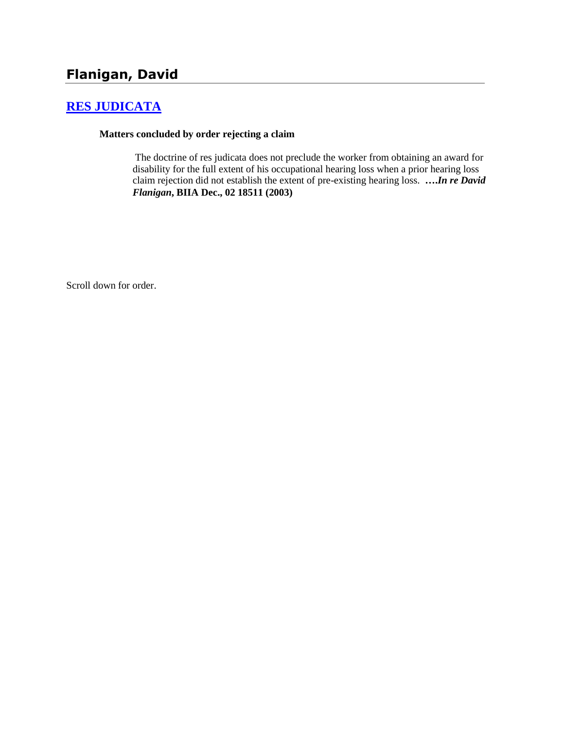# **[RES JUDICATA](http://www.biia.wa.gov/SDSubjectIndex.html#RES_JUDICATA)**

### **Matters concluded by order rejecting a claim**

The doctrine of res judicata does not preclude the worker from obtaining an award for disability for the full extent of his occupational hearing loss when a prior hearing loss claim rejection did not establish the extent of pre-existing hearing loss. **….***In re David Flanigan***, BIIA Dec., 02 18511 (2003)** 

Scroll down for order.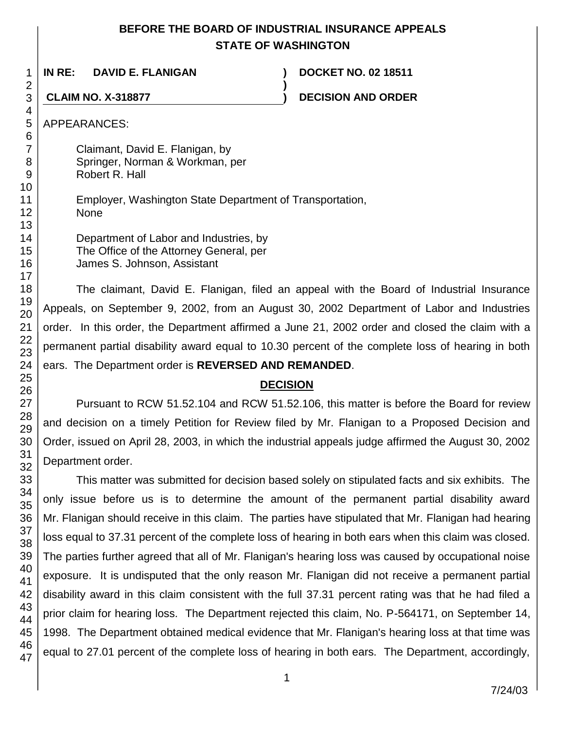## **BEFORE THE BOARD OF INDUSTRIAL INSURANCE APPEALS STATE OF WASHINGTON**

**)**

**IN RE: DAVID E. FLANIGAN ) DOCKET NO. 02 18511**

**CLAIM NO. X-318877 ) DECISION AND ORDER**

APPEARANCES:

Claimant, David E. Flanigan, by Springer, Norman & Workman, per Robert R. Hall

Employer, Washington State Department of Transportation, None

Department of Labor and Industries, by The Office of the Attorney General, per James S. Johnson, Assistant

The claimant, David E. Flanigan, filed an appeal with the Board of Industrial Insurance Appeals, on September 9, 2002, from an August 30, 2002 Department of Labor and Industries order. In this order, the Department affirmed a June 21, 2002 order and closed the claim with a permanent partial disability award equal to 10.30 percent of the complete loss of hearing in both ears. The Department order is **REVERSED AND REMANDED**.

## **DECISION**

Pursuant to RCW 51.52.104 and RCW 51.52.106, this matter is before the Board for review and decision on a timely Petition for Review filed by Mr. Flanigan to a Proposed Decision and Order, issued on April 28, 2003, in which the industrial appeals judge affirmed the August 30, 2002 Department order.

This matter was submitted for decision based solely on stipulated facts and six exhibits. The only issue before us is to determine the amount of the permanent partial disability award Mr. Flanigan should receive in this claim. The parties have stipulated that Mr. Flanigan had hearing loss equal to 37.31 percent of the complete loss of hearing in both ears when this claim was closed. The parties further agreed that all of Mr. Flanigan's hearing loss was caused by occupational noise exposure. It is undisputed that the only reason Mr. Flanigan did not receive a permanent partial disability award in this claim consistent with the full 37.31 percent rating was that he had filed a prior claim for hearing loss. The Department rejected this claim, No. P-564171, on September 14, 1998. The Department obtained medical evidence that Mr. Flanigan's hearing loss at that time was equal to 27.01 percent of the complete loss of hearing in both ears. The Department, accordingly,

46 47

1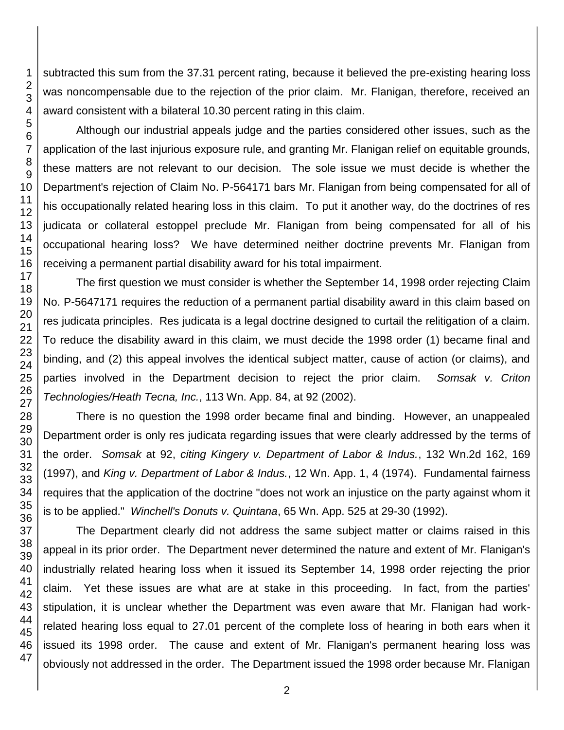subtracted this sum from the 37.31 percent rating, because it believed the pre-existing hearing loss was noncompensable due to the rejection of the prior claim. Mr. Flanigan, therefore, received an award consistent with a bilateral 10.30 percent rating in this claim.

Although our industrial appeals judge and the parties considered other issues, such as the application of the last injurious exposure rule, and granting Mr. Flanigan relief on equitable grounds, these matters are not relevant to our decision. The sole issue we must decide is whether the Department's rejection of Claim No. P-564171 bars Mr. Flanigan from being compensated for all of his occupationally related hearing loss in this claim. To put it another way, do the doctrines of res judicata or collateral estoppel preclude Mr. Flanigan from being compensated for all of his occupational hearing loss? We have determined neither doctrine prevents Mr. Flanigan from receiving a permanent partial disability award for his total impairment.

The first question we must consider is whether the September 14, 1998 order rejecting Claim No. P-5647171 requires the reduction of a permanent partial disability award in this claim based on res judicata principles. Res judicata is a legal doctrine designed to curtail the relitigation of a claim. To reduce the disability award in this claim, we must decide the 1998 order (1) became final and binding, and (2) this appeal involves the identical subject matter, cause of action (or claims), and parties involved in the Department decision to reject the prior claim. *Somsak v. Criton Technologies/Heath Tecna, Inc.*, 113 Wn. App. 84, at 92 (2002).

There is no question the 1998 order became final and binding. However, an unappealed Department order is only res judicata regarding issues that were clearly addressed by the terms of the order. *Somsak* at 92, *citing Kingery v. Department of Labor & Indus.*, 132 Wn.2d 162, 169 (1997), and *King v. Department of Labor & Indus.*, 12 Wn. App. 1, 4 (1974). Fundamental fairness requires that the application of the doctrine "does not work an injustice on the party against whom it is to be applied." *Winchell's Donuts v. Quintana*, 65 Wn. App. 525 at 29-30 (1992).

The Department clearly did not address the same subject matter or claims raised in this appeal in its prior order. The Department never determined the nature and extent of Mr. Flanigan's industrially related hearing loss when it issued its September 14, 1998 order rejecting the prior claim. Yet these issues are what are at stake in this proceeding. In fact, from the parties' stipulation, it is unclear whether the Department was even aware that Mr. Flanigan had workrelated hearing loss equal to 27.01 percent of the complete loss of hearing in both ears when it issued its 1998 order. The cause and extent of Mr. Flanigan's permanent hearing loss was obviously not addressed in the order. The Department issued the 1998 order because Mr. Flanigan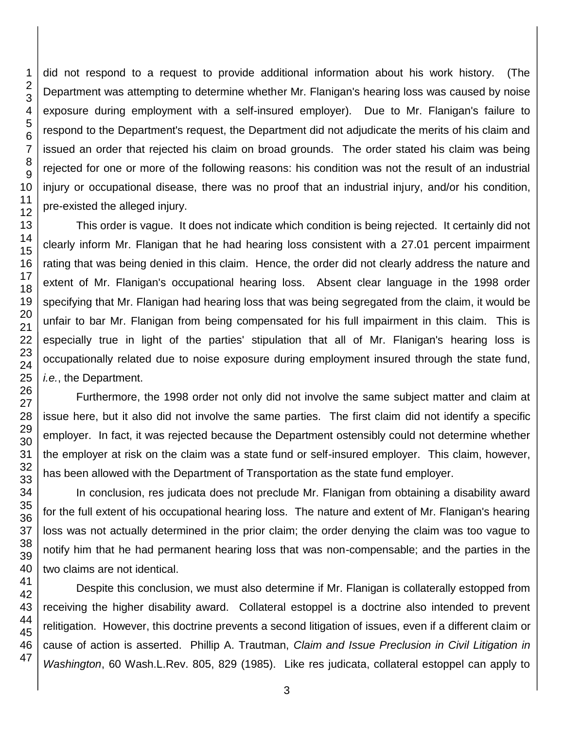did not respond to a request to provide additional information about his work history. (The Department was attempting to determine whether Mr. Flanigan's hearing loss was caused by noise exposure during employment with a self-insured employer). Due to Mr. Flanigan's failure to respond to the Department's request, the Department did not adjudicate the merits of his claim and issued an order that rejected his claim on broad grounds. The order stated his claim was being rejected for one or more of the following reasons: his condition was not the result of an industrial injury or occupational disease, there was no proof that an industrial injury, and/or his condition, pre-existed the alleged injury.

This order is vague. It does not indicate which condition is being rejected. It certainly did not clearly inform Mr. Flanigan that he had hearing loss consistent with a 27.01 percent impairment rating that was being denied in this claim. Hence, the order did not clearly address the nature and extent of Mr. Flanigan's occupational hearing loss. Absent clear language in the 1998 order specifying that Mr. Flanigan had hearing loss that was being segregated from the claim, it would be unfair to bar Mr. Flanigan from being compensated for his full impairment in this claim. This is especially true in light of the parties' stipulation that all of Mr. Flanigan's hearing loss is occupationally related due to noise exposure during employment insured through the state fund, *i.e.*, the Department.

Furthermore, the 1998 order not only did not involve the same subject matter and claim at issue here, but it also did not involve the same parties. The first claim did not identify a specific employer. In fact, it was rejected because the Department ostensibly could not determine whether the employer at risk on the claim was a state fund or self-insured employer. This claim, however, has been allowed with the Department of Transportation as the state fund employer.

In conclusion, res judicata does not preclude Mr. Flanigan from obtaining a disability award for the full extent of his occupational hearing loss. The nature and extent of Mr. Flanigan's hearing loss was not actually determined in the prior claim; the order denying the claim was too vague to notify him that he had permanent hearing loss that was non-compensable; and the parties in the two claims are not identical.

Despite this conclusion, we must also determine if Mr. Flanigan is collaterally estopped from receiving the higher disability award. Collateral estoppel is a doctrine also intended to prevent relitigation. However, this doctrine prevents a second litigation of issues, even if a different claim or cause of action is asserted. Phillip A. Trautman, *Claim and Issue Preclusion in Civil Litigation in Washington*, 60 Wash.L.Rev. 805, 829 (1985). Like res judicata, collateral estoppel can apply to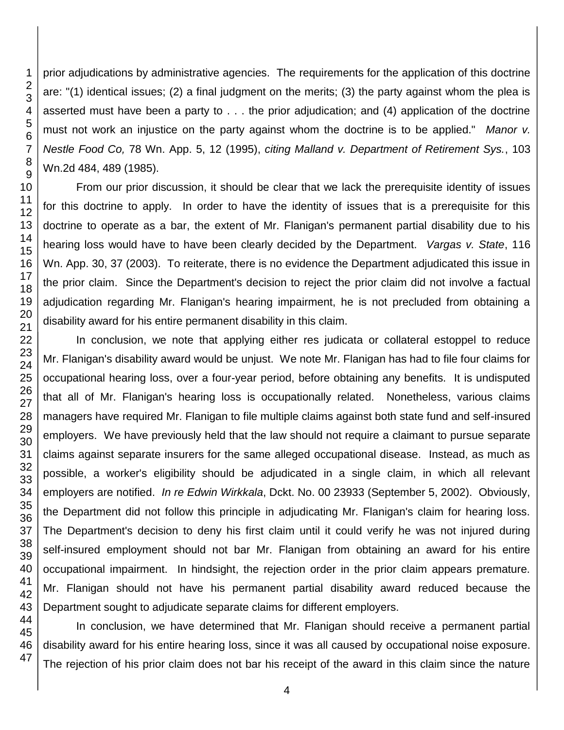1 2 3 4 5 6 7 8 9 10 11 12 13 14 15 16 17 18 19 20 21 22 23 prior adjudications by administrative agencies. The requirements for the application of this doctrine are: "(1) identical issues; (2) a final judgment on the merits; (3) the party against whom the plea is asserted must have been a party to . . . the prior adjudication; and (4) application of the doctrine must not work an injustice on the party against whom the doctrine is to be applied." *Manor v. Nestle Food Co,* 78 Wn. App. 5, 12 (1995), *citing Malland v. Department of Retirement Sys.*, 103 Wn.2d 484, 489 (1985). From our prior discussion, it should be clear that we lack the prerequisite identity of issues for this doctrine to apply. In order to have the identity of issues that is a prerequisite for this doctrine to operate as a bar, the extent of Mr. Flanigan's permanent partial disability due to his hearing loss would have to have been clearly decided by the Department. *Vargas v. State*, 116 Wn. App. 30, 37 (2003). To reiterate, there is no evidence the Department adjudicated this issue in the prior claim. Since the Department's decision to reject the prior claim did not involve a factual adjudication regarding Mr. Flanigan's hearing impairment, he is not precluded from obtaining a disability award for his entire permanent disability in this claim.

In conclusion, we note that applying either res judicata or collateral estoppel to reduce Mr. Flanigan's disability award would be unjust. We note Mr. Flanigan has had to file four claims for occupational hearing loss, over a four-year period, before obtaining any benefits. It is undisputed that all of Mr. Flanigan's hearing loss is occupationally related. Nonetheless, various claims managers have required Mr. Flanigan to file multiple claims against both state fund and self-insured employers. We have previously held that the law should not require a claimant to pursue separate claims against separate insurers for the same alleged occupational disease. Instead, as much as possible, a worker's eligibility should be adjudicated in a single claim, in which all relevant employers are notified. *In re Edwin Wirkkala*, Dckt. No. 00 23933 (September 5, 2002). Obviously, the Department did not follow this principle in adjudicating Mr. Flanigan's claim for hearing loss. The Department's decision to deny his first claim until it could verify he was not injured during self-insured employment should not bar Mr. Flanigan from obtaining an award for his entire occupational impairment. In hindsight, the rejection order in the prior claim appears premature. Mr. Flanigan should not have his permanent partial disability award reduced because the Department sought to adjudicate separate claims for different employers.

In conclusion, we have determined that Mr. Flanigan should receive a permanent partial disability award for his entire hearing loss, since it was all caused by occupational noise exposure. The rejection of his prior claim does not bar his receipt of the award in this claim since the nature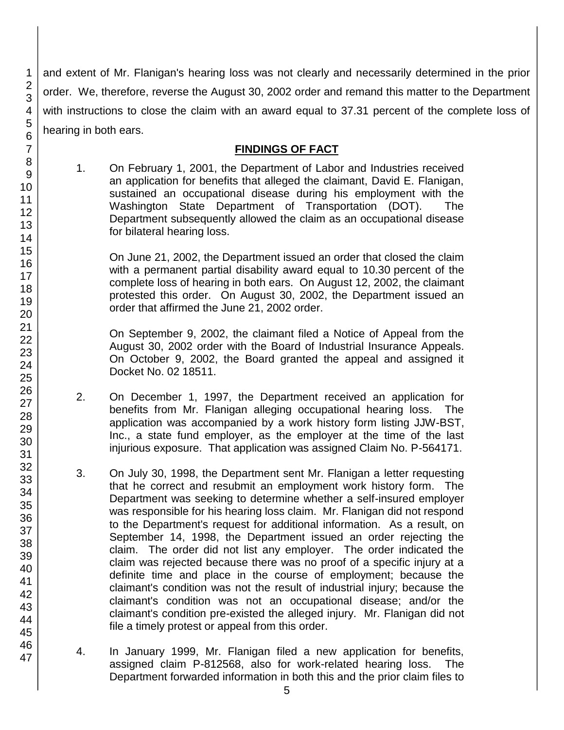and extent of Mr. Flanigan's hearing loss was not clearly and necessarily determined in the prior order. We, therefore, reverse the August 30, 2002 order and remand this matter to the Department with instructions to close the claim with an award equal to 37.31 percent of the complete loss of hearing in both ears.

### **FINDINGS OF FACT**

1. On February 1, 2001, the Department of Labor and Industries received an application for benefits that alleged the claimant, David E. Flanigan, sustained an occupational disease during his employment with the Washington State Department of Transportation (DOT). The Department subsequently allowed the claim as an occupational disease for bilateral hearing loss.

On June 21, 2002, the Department issued an order that closed the claim with a permanent partial disability award equal to 10.30 percent of the complete loss of hearing in both ears. On August 12, 2002, the claimant protested this order. On August 30, 2002, the Department issued an order that affirmed the June 21, 2002 order.

On September 9, 2002, the claimant filed a Notice of Appeal from the August 30, 2002 order with the Board of Industrial Insurance Appeals. On October 9, 2002, the Board granted the appeal and assigned it Docket No. 02 18511.

- 2. On December 1, 1997, the Department received an application for benefits from Mr. Flanigan alleging occupational hearing loss. The application was accompanied by a work history form listing JJW-BST, Inc., a state fund employer, as the employer at the time of the last injurious exposure. That application was assigned Claim No. P-564171.
- 3. On July 30, 1998, the Department sent Mr. Flanigan a letter requesting that he correct and resubmit an employment work history form. The Department was seeking to determine whether a self-insured employer was responsible for his hearing loss claim. Mr. Flanigan did not respond to the Department's request for additional information. As a result, on September 14, 1998, the Department issued an order rejecting the claim. The order did not list any employer. The order indicated the claim was rejected because there was no proof of a specific injury at a definite time and place in the course of employment; because the claimant's condition was not the result of industrial injury; because the claimant's condition was not an occupational disease; and/or the claimant's condition pre-existed the alleged injury. Mr. Flanigan did not file a timely protest or appeal from this order.
- 4. In January 1999, Mr. Flanigan filed a new application for benefits, assigned claim P-812568, also for work-related hearing loss. The Department forwarded information in both this and the prior claim files to

1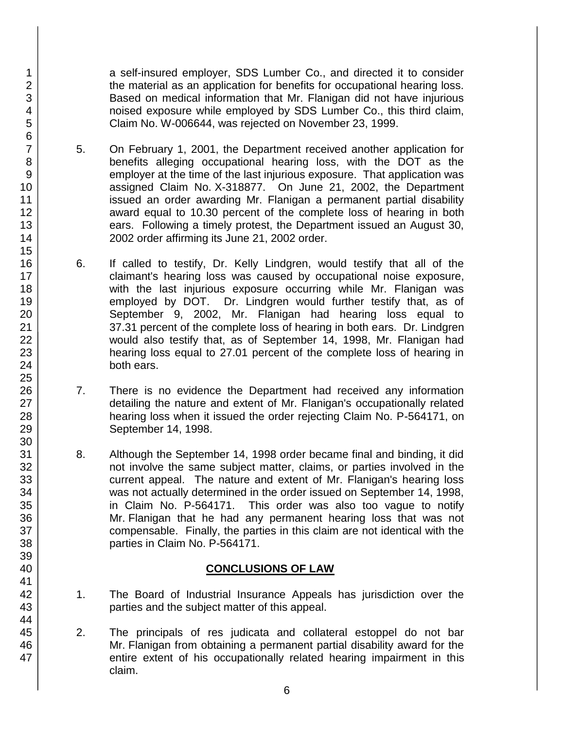a self-insured employer, SDS Lumber Co., and directed it to consider the material as an application for benefits for occupational hearing loss. Based on medical information that Mr. Flanigan did not have injurious noised exposure while employed by SDS Lumber Co., this third claim, Claim No. W-006644, was rejected on November 23, 1999.

- 5. On February 1, 2001, the Department received another application for benefits alleging occupational hearing loss, with the DOT as the employer at the time of the last injurious exposure. That application was assigned Claim No. X-318877. On June 21, 2002, the Department issued an order awarding Mr. Flanigan a permanent partial disability award equal to 10.30 percent of the complete loss of hearing in both ears. Following a timely protest, the Department issued an August 30, 2002 order affirming its June 21, 2002 order.
- 6. If called to testify, Dr. Kelly Lindgren, would testify that all of the claimant's hearing loss was caused by occupational noise exposure, with the last injurious exposure occurring while Mr. Flanigan was employed by DOT. Dr. Lindgren would further testify that, as of September 9, 2002, Mr. Flanigan had hearing loss equal to 37.31 percent of the complete loss of hearing in both ears. Dr. Lindgren would also testify that, as of September 14, 1998, Mr. Flanigan had hearing loss equal to 27.01 percent of the complete loss of hearing in both ears.
- 7. There is no evidence the Department had received any information detailing the nature and extent of Mr. Flanigan's occupationally related hearing loss when it issued the order rejecting Claim No. P-564171, on September 14, 1998.
- 8. Although the September 14, 1998 order became final and binding, it did not involve the same subject matter, claims, or parties involved in the current appeal. The nature and extent of Mr. Flanigan's hearing loss was not actually determined in the order issued on September 14, 1998, in Claim No. P-564171. This order was also too vague to notify Mr. Flanigan that he had any permanent hearing loss that was not compensable. Finally, the parties in this claim are not identical with the parties in Claim No. P-564171.

## **CONCLUSIONS OF LAW**

- 1. The Board of Industrial Insurance Appeals has jurisdiction over the parties and the subject matter of this appeal.
- 2. The principals of res judicata and collateral estoppel do not bar Mr. Flanigan from obtaining a permanent partial disability award for the entire extent of his occupationally related hearing impairment in this claim.

6